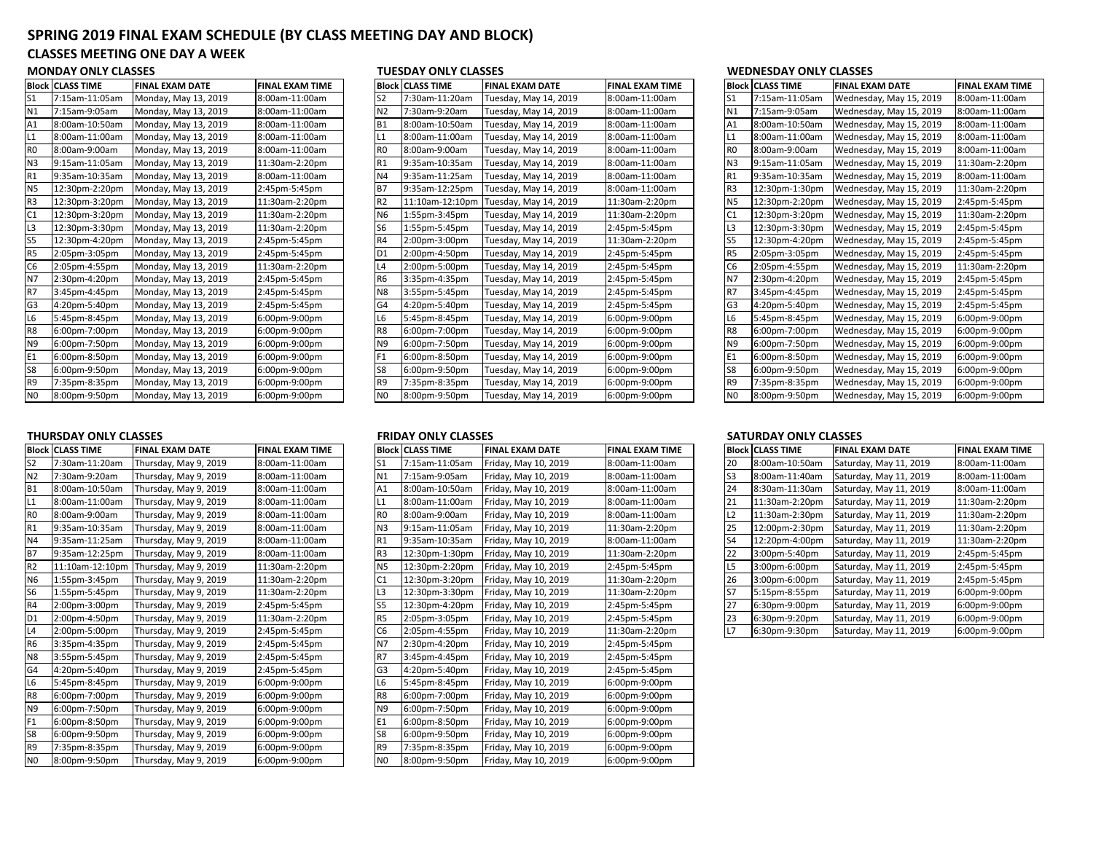# **SPRING 2019 FINAL EXAM SCHEDULE (BY CLASS MEETING DAY AND BLOCK)**

## **CLASSES MEETING ONE DAY A WEEK**

## **MONDAY ONLY CLASSES**

| <b>Block</b>   | <b>CLASS TIME</b> | <b>FINAL EXAM DATE</b> | <b>FINAL EXAM TIME</b> |
|----------------|-------------------|------------------------|------------------------|
| S <sub>1</sub> | 7:15am-11:05am    | Monday, May 13, 2019   | 8:00am-11:00am         |
| N1             | 7:15am-9:05am     | Monday, May 13, 2019   | 8:00am-11:00am         |
| A1             | 8:00am-10:50am    | Monday, May 13, 2019   | 8:00am-11:00am         |
| L1             | 8:00am-11:00am    | Monday, May 13, 2019   | 8:00am-11:00am         |
| R <sub>0</sub> | 8:00am-9:00am     | Monday, May 13, 2019   | 8:00am-11:00am         |
| N <sub>3</sub> | 9:15am-11:05am    | Monday, May 13, 2019   | 11:30am-2:20pm         |
| R1             | 9:35am-10:35am    | Monday, May 13, 2019   | 8:00am-11:00am         |
| <b>N5</b>      | 12:30pm-2:20pm    | Monday, May 13, 2019   | 2:45pm-5:45pm          |
| R <sub>3</sub> | 12:30pm-3:20pm    | Monday, May 13, 2019   | 11:30am-2:20pm         |
| C1             | 12:30pm-3:20pm    | Monday, May 13, 2019   | 11:30am-2:20pm         |
| L3             | 12:30pm-3:30pm    | Monday, May 13, 2019   | 11:30am-2:20pm         |
| S5             | 12:30pm-4:20pm    | Monday, May 13, 2019   | 2:45pm-5:45pm          |
| R <sub>5</sub> | 2:05pm-3:05pm     | Monday, May 13, 2019   | 2:45pm-5:45pm          |
| C <sub>6</sub> | 2:05pm-4:55pm     | Monday, May 13, 2019   | 11:30am-2:20pm         |
| N7             | 2:30pm-4:20pm     | Monday, May 13, 2019   | 2:45pm-5:45pm          |
| R7             | 3:45pm-4:45pm     | Monday, May 13, 2019   | 2:45pm-5:45pm          |
| G <sub>3</sub> | 4:20pm-5:40pm     | Monday, May 13, 2019   | 2:45pm-5:45pm          |
| L6             | 5:45pm-8:45pm     | Monday, May 13, 2019   | 6:00pm-9:00pm          |
| R <sub>8</sub> | 6:00pm-7:00pm     | Monday, May 13, 2019   | 6:00pm-9:00pm          |
| N9             | 6:00pm-7:50pm     | Monday, May 13, 2019   | 6:00pm-9:00pm          |
| E1             | 6:00pm-8:50pm     | Monday, May 13, 2019   | 6:00pm-9:00pm          |
| S8             | 6:00pm-9:50pm     | Monday, May 13, 2019   | 6:00pm-9:00pm          |
| R9             | 7:35pm-8:35pm     | Monday, May 13, 2019   | 6:00pm-9:00pm          |
| N <sub>0</sub> | 8:00pm-9:50pm     | Monday, May 13, 2019   | 6:00pm-9:00pm          |

| נוסופרו סויבו כבתוסוס |                   |                        |                        | נוסכתו טוינו כנתוטים |                         |                        |                        |                 | WEDIVESDAT ONET CEASSES |                         |                        |  |
|-----------------------|-------------------|------------------------|------------------------|----------------------|-------------------------|------------------------|------------------------|-----------------|-------------------------|-------------------------|------------------------|--|
|                       | Block  CLASS TIME | <b>FINAL EXAM DATE</b> | <b>FINAL EXAM TIME</b> |                      | <b>Block CLASS TIME</b> | <b>FINAL EXAM DATE</b> | <b>FINAL EXAM TIME</b> |                 | <b>Block CLASS TIME</b> | <b>FINAL EXAM DATE</b>  | <b>FINAL EXAM TIME</b> |  |
| S1                    | 7:15am-11:05am    | Monday, May 13, 2019   | 8:00am-11:00am         | S <sub>2</sub>       | 7:30am-11:20am          | Tuesday, May 14, 2019  | 8:00am-11:00am         | S <sub>1</sub>  | 7:15am-11:05am          | Wednesday, May 15, 2019 | 8:00am-11:00am         |  |
| Ν1                    | 7:15am-9:05am     | Monday, May 13, 2019   | 8:00am-11:00am         | N <sub>2</sub>       | 7:30am-9:20am           | Tuesday, May 14, 2019  | 8:00am-11:00am         | <b>N1</b>       | 7:15am-9:05am           | Wednesday, May 15, 2019 | 8:00am-11:00am         |  |
| Α1                    | 8:00am-10:50am    | Monday, May 13, 2019   | 8:00am-11:00am         | B <sub>1</sub>       | 8:00am-10:50am          | Tuesday, May 14, 2019  | 8:00am-11:00am         | A <sub>1</sub>  | 8:00am-10:50am          | Wednesday, May 15, 2019 | 8:00am-11:00am         |  |
|                       | 8:00am-11:00am    | Monday, May 13, 2019   | 8:00am-11:00am         | L1                   | 8:00am-11:00am          | Tuesday, May 14, 2019  | 8:00am-11:00am         | IL1             | 8:00am-11:00am          | Wednesday, May 15, 2019 | 8:00am-11:00am         |  |
| R0                    | 8:00am-9:00am     | Monday, May 13, 2019   | 8:00am-11:00am         | R <sub>0</sub>       | 8:00am-9:00am           | Tuesday, May 14, 2019  | 8:00am-11:00am         | I <sub>R0</sub> | 8:00am-9:00am           | Wednesday, May 15, 2019 | 8:00am-11:00am         |  |
| N3                    | 9:15am-11:05am    | Monday, May 13, 2019   | 11:30am-2:20pm         | R <sub>1</sub>       | 9:35am-10:35am          | Tuesday, May 14, 2019  | 8:00am-11:00am         | N <sub>3</sub>  | 9:15am-11:05am          | Wednesday, May 15, 2019 | 11:30am-2:20pm         |  |
|                       | 9:35am-10:35am    | Monday, May 13, 2019   | 8:00am-11:00am         | <b>N4</b>            | 9:35am-11:25am          | Tuesday, May 14, 2019  | 8:00am-11:00am         | IR <sub>1</sub> | 9:35am-10:35am          | Wednesday, May 15, 2019 | 8:00am-11:00am         |  |
| N5                    | 12:30pm-2:20pm    | Monday, May 13, 2019   | 2:45pm-5:45pm          | B7                   | 9:35am-12:25pm          | Tuesday, May 14, 2019  | 8:00am-11:00am         | IR <sub>3</sub> | 12:30pm-1:30pm          | Wednesday, May 15, 2019 | 11:30am-2:20pm         |  |
| R3                    | 12:30pm-3:20pm    | Monday, May 13, 2019   | 11:30am-2:20pm         | R <sub>2</sub>       | 11:10am-12:10pm         | Tuesday, May 14, 2019  | 11:30am-2:20pm         | IN <sub>5</sub> | 12:30pm-2:20pm          | Wednesday, May 15, 2019 | 2:45pm-5:45pm          |  |
| C1                    | 12:30pm-3:20pm    | Monday, May 13, 2019   | 11:30am-2:20pm         | N <sub>6</sub>       | 1:55pm-3:45pm           | Tuesday, May 14, 2019  | 11:30am-2:20pm         | C <sub>1</sub>  | 12:30pm-3:20pm          | Wednesday, May 15, 2019 | 11:30am-2:20pm         |  |
| L3                    | 12:30pm-3:30pm    | Monday, May 13, 2019   | 11:30am-2:20pm         | S <sub>6</sub>       | 1:55pm-5:45pm           | Tuesday, May 14, 2019  | 2:45pm-5:45pm          | L <sub>3</sub>  | 12:30pm-3:30pm          | Wednesday, May 15, 2019 | 2:45pm-5:45pm          |  |
| S5                    | 12:30pm-4:20pm    | Monday, May 13, 2019   | 2:45pm-5:45pm          | <b>R4</b>            | 2:00pm-3:00pm           | Tuesday, May 14, 2019  | 11:30am-2:20pm         | S <sub>5</sub>  | 12:30pm-4:20pm          | Wednesday, May 15, 2019 | 2:45pm-5:45pm          |  |
| R5                    | 2:05pm-3:05pm     | Monday, May 13, 2019   | 2:45pm-5:45pm          | D <sub>1</sub>       | 2:00pm-4:50pm           | Tuesday, May 14, 2019  | 2:45pm-5:45pm          | IR <sub>5</sub> | 2:05pm-3:05pm           | Wednesday, May 15, 2019 | 2:45pm-5:45pm          |  |
| C6                    | 2:05pm-4:55pm     | Monday, May 13, 2019   | 11:30am-2:20pm         | L4                   | 2:00pm-5:00pm           | Tuesday, May 14, 2019  | 2:45pm-5:45pm          | C <sub>6</sub>  | 2:05pm-4:55pm           | Wednesday, May 15, 2019 | 11:30am-2:20pm         |  |
| N7                    | 2:30pm-4:20pm     | Monday, May 13, 2019   | 2:45pm-5:45pm          | R <sub>6</sub>       | 3:35pm-4:35pm           | Tuesday, May 14, 2019  | 2:45pm-5:45pm          | IN <sub>7</sub> | 2:30pm-4:20pm           | Wednesday, May 15, 2019 | 2:45pm-5:45pm          |  |
| R7                    | 3:45pm-4:45pm     | Monday, May 13, 2019   | 2:45pm-5:45pm          | N <sub>8</sub>       | 3:55pm-5:45pm           | Tuesday, May 14, 2019  | 2:45pm-5:45pm          | R7              | 3:45pm-4:45pm           | Wednesday, May 15, 2019 | 2:45pm-5:45pm          |  |
| G3                    | 4:20pm-5:40pm     | Monday, May 13, 2019   | 2:45pm-5:45pm          | G <sub>4</sub>       | 4:20pm-5:40pm           | Tuesday, May 14, 2019  | 2:45pm-5:45pm          | G <sub>3</sub>  | 4:20pm-5:40pm           | Wednesday, May 15, 2019 | 2:45pm-5:45pm          |  |
| L6                    | 5:45pm-8:45pm     | Monday, May 13, 2019   | 6:00pm-9:00pm          | L <sub>6</sub>       | 5:45pm-8:45pm           | Tuesday, May 14, 2019  | 6:00pm-9:00pm          | L <sub>6</sub>  | 5:45pm-8:45pm           | Wednesday, May 15, 2019 | 6:00pm-9:00pm          |  |
| R8                    | 6:00pm-7:00pm     | Monday, May 13, 2019   | 6:00pm-9:00pm          | R <sub>8</sub>       | 6:00pm-7:00pm           | Tuesday, May 14, 2019  | 6:00pm-9:00pm          | R <sub>8</sub>  | 6:00pm-7:00pm           | Wednesday, May 15, 2019 | 6:00pm-9:00pm          |  |
| N9                    | 6:00pm-7:50pm     | Monday, May 13, 2019   | 6:00pm-9:00pm          | N <sub>9</sub>       | 6:00pm-7:50pm           | Tuesday, May 14, 2019  | 6:00pm-9:00pm          | N <sub>9</sub>  | 6:00pm-7:50pm           | Wednesday, May 15, 2019 | 6:00pm-9:00pm          |  |
|                       | 6:00pm-8:50pm     | Monday, May 13, 2019   | 6:00pm-9:00pm          | F <sub>1</sub>       | 6:00pm-8:50pm           | Tuesday, May 14, 2019  | 6:00pm-9:00pm          | IE <sub>1</sub> | 6:00pm-8:50pm           | Wednesday, May 15, 2019 | 6:00pm-9:00pm          |  |
| S8                    | 6:00pm-9:50pm     | Monday, May 13, 2019   | 6:00pm-9:00pm          | S8                   | 6:00pm-9:50pm           | Tuesday, May 14, 2019  | 6:00pm-9:00pm          | S8              | 6:00pm-9:50pm           | Wednesday, May 15, 2019 | 6:00pm-9:00pm          |  |
|                       | 7:35pm-8:35pm     | Monday, May 13, 2019   | 6:00pm-9:00pm          | R <sub>9</sub>       | 7:35pm-8:35pm           | Tuesday, May 14, 2019  | 6:00pm-9:00pm          | IR <sub>9</sub> | 7:35pm-8:35pm           | Wednesday, May 15, 2019 | 6:00pm-9:00pm          |  |
| N0                    | 8:00pm-9:50pm     | Monday, May 13, 2019   | 6:00pm-9:00pm          | N <sub>0</sub>       | 8:00pm-9:50pm           | Tuesday, May 14, 2019  | 6:00pm-9:00pm          | I <sub>N0</sub> | 8:00pm-9:50pm           | Wednesday, May 15, 2019 | 6:00pm-9:00pm          |  |
|                       |                   |                        |                        |                      |                         |                        |                        |                 |                         |                         |                        |  |

|           | Block  CLASS TIME | <b>FINAL EXAM DATE</b> | <b>FINAL EXAM TIME</b> |                 |  | <b>Block CLASS TIME</b> | <b>FINAL EXAM DATE</b> | <b>FINAL EXAM TIME</b> |                 | <b>Block CLASS TIME</b> | <b>FINAL EXAM DATE</b> | <b>FINAL EXAM TIME</b> |
|-----------|-------------------|------------------------|------------------------|-----------------|--|-------------------------|------------------------|------------------------|-----------------|-------------------------|------------------------|------------------------|
| S2        | 7:30am-11:20am    | Thursday, May 9, 2019  | 8:00am-11:00am         | S1              |  | 7:15am-11:05am          | Friday, May 10, 2019   | 8:00am-11:00am         | 20              | 8:00am-10:50am          | Saturday, May 11, 2019 | 8:00am-11:00am         |
| N2        | 7:30am-9:20am     | Thursday, May 9, 2019  | 8:00am-11:00am         | N1              |  | 7:15am-9:05am           | Friday, May 10, 2019   | 8:00am-11:00am         | IS <sub>3</sub> | 8:00am-11:40am          | Saturday, May 11, 2019 | 8:00am-11:00am         |
| Β1        | 8:00am-10:50am    | Thursday, May 9, 2019  | 8:00am-11:00am         | A1              |  | 8:00am-10:50am          | Friday, May 10, 2019   | 8:00am-11:00am         | 24              | 8:30am-11:30am          | Saturday, May 11, 2019 | 8:00am-11:00am         |
|           | 8:00am-11:00am    | Thursday, May 9, 2019  | 8:00am-11:00am         |                 |  | 8:00am-11:00am          | Friday, May 10, 2019   | 8:00am-11:00am         | 21              | 11:30am-2:20pm          | Saturday, May 11, 2019 | 11:30am-2:20pm         |
| R0        | 8:00am-9:00am     | Thursday, May 9, 2019  | 8:00am-11:00am         | IRO             |  | 8:00am-9:00am           | Friday, May 10, 2019   | 8:00am-11:00am         | L2              | 11:30am-2:30pm          | Saturday, May 11, 2019 | 11:30am-2:20pm         |
| R1        | 9:35am-10:35am    | Thursday, May 9, 2019  | 8:00am-11:00am         | N <sub>3</sub>  |  | 9:15am-11:05am          | Friday, May 10, 2019   | 11:30am-2:20pm         | 25              | 12:00pm-2:30pm          | Saturday, May 11, 2019 | 11:30am-2:20pm         |
| N4        | 9:35am-11:25am    | Thursday, May 9, 2019  | 8:00am-11:00am         | R <sub>1</sub>  |  | 9:35am-10:35am          | Friday, May 10, 2019   | 8:00am-11:00am         | S <sub>4</sub>  | 12:20pm-4:00pm          | Saturday, May 11, 2019 | 11:30am-2:20pm         |
| <b>B7</b> | 9:35am-12:25pm    | Thursday, May 9, 2019  | 8:00am-11:00am         | R <sub>3</sub>  |  | 12:30pm-1:30pm          | Friday, May 10, 2019   | 11:30am-2:20pm         | 22              | 3:00pm-5:40pm           | Saturday, May 11, 2019 | 2:45pm-5:45pm          |
| R2        | 11:10am-12:10pm   | Thursday, May 9, 2019  | 11:30am-2:20pm         | <b>N5</b>       |  | 12:30pm-2:20pm          | Friday, May 10, 2019   | 2:45pm-5:45pm          | IL5             | 3:00pm-6:00pm           | Saturday, May 11, 2019 | 2:45pm-5:45pm          |
| N6        | 1:55pm-3:45pm     | Thursday, May 9, 2019  | 11:30am-2:20pm         | C <sub>1</sub>  |  | 12:30pm-3:20pm          | Friday, May 10, 2019   | 11:30am-2:20pm         | 26              | 3:00pm-6:00pm           | Saturday, May 11, 2019 | 2:45pm-5:45pm          |
| S6        | 1:55pm-5:45pm     | Thursday, May 9, 2019  | 11:30am-2:20pm         | L <sub>3</sub>  |  | 12:30pm-3:30pm          | Friday, May 10, 2019   | 11:30am-2:20pm         | IS <sub>7</sub> | 5:15pm-8:55pm           | Saturday, May 11, 2019 | 6:00pm-9:00pm          |
| R4        | 2:00pm-3:00pm     | Thursday, May 9, 2019  | 2:45pm-5:45pm          | S5              |  | 12:30pm-4:20pm          | Friday, May 10, 2019   | 2:45pm-5:45pm          | 27              | 6:30pm-9:00pm           | Saturday, May 11, 2019 | 6:00pm-9:00pm          |
| D1        | 2:00pm-4:50pm     | Thursday, May 9, 2019  | 11:30am-2:20pm         | R <sub>5</sub>  |  | 2:05pm-3:05pm           | Friday, May 10, 2019   | 2:45pm-5:45pm          | 23              | 6:30pm-9:20pm           | Saturday, May 11, 2019 | 6:00pm-9:00pm          |
| L4        | 2:00pm-5:00pm     | Thursday, May 9, 2019  | 2:45pm-5:45pm          | C <sub>6</sub>  |  | 2:05pm-4:55pm           | Friday, May 10, 2019   | 11:30am-2:20pm         | IL7             | 6:30pm-9:30pm           | Saturday, May 11, 2019 | 6:00pm-9:00pm          |
| R6        | 3:35pm-4:35pm     | Thursday, May 9, 2019  | 2:45pm-5:45pm          | <b>N7</b>       |  | 2:30pm-4:20pm           | Friday, May 10, 2019   | 2:45pm-5:45pm          |                 |                         |                        |                        |
| N8        | 3:55pm-5:45pm     | Thursday, May 9, 2019  | 2:45pm-5:45pm          | R7              |  | 3:45pm-4:45pm           | Friday, May 10, 2019   | 2:45pm-5:45pm          |                 |                         |                        |                        |
| G4        | 4:20pm-5:40pm     | Thursday, May 9, 2019  | 2:45pm-5:45pm          | G <sub>3</sub>  |  | 4:20pm-5:40pm           | Friday, May 10, 2019   | 2:45pm-5:45pm          |                 |                         |                        |                        |
| L6        | 5:45pm-8:45pm     | Thursday, May 9, 2019  | 6:00pm-9:00pm          | L <sub>6</sub>  |  | 5:45pm-8:45pm           | Friday, May 10, 2019   | 6:00pm-9:00pm          |                 |                         |                        |                        |
| R8        | 6:00pm-7:00pm     | Thursday, May 9, 2019  | 6:00pm-9:00pm          | R <sub>8</sub>  |  | 6:00pm-7:00pm           | Friday, May 10, 2019   | 6:00pm-9:00pm          |                 |                         |                        |                        |
| N9        | 6:00pm-7:50pm     | Thursday, May 9, 2019  | 6:00pm-9:00pm          | N <sub>9</sub>  |  | 6:00pm-7:50pm           | Friday, May 10, 2019   | 6:00pm-9:00pm          |                 |                         |                        |                        |
|           | 6:00pm-8:50pm     | Thursday, May 9, 2019  | 6:00pm-9:00pm          | E <sub>1</sub>  |  | 6:00pm-8:50pm           | Friday, May 10, 2019   | 6:00pm-9:00pm          |                 |                         |                        |                        |
| S8        | 6:00pm-9:50pm     | Thursday, May 9, 2019  | 6:00pm-9:00pm          | S8              |  | 6:00pm-9:50pm           | Friday, May 10, 2019   | 6:00pm-9:00pm          |                 |                         |                        |                        |
| R9        | 7:35pm-8:35pm     | Thursday, May 9, 2019  | 6:00pm-9:00pm          | R <sub>9</sub>  |  | 7:35pm-8:35pm           | Friday, May 10, 2019   | 6:00pm-9:00pm          |                 |                         |                        |                        |
| N0        | 8:00pm-9:50pm     | Thursday, May 9, 2019  | 6:00pm-9:00pm          | I <sub>NO</sub> |  | 8:00pm-9:50pm           | Friday, May 10, 2019   | 6:00pm-9:00pm          |                 |                         |                        |                        |

### **TUESDAY ONLY CLASSES WEDNESDAY ONLY CLASSES**

|                | WLDNLJDAI UNLI CLAJJLJ |                         |                        |  |  |  |  |  |
|----------------|------------------------|-------------------------|------------------------|--|--|--|--|--|
| <b>Block</b>   | <b>CLASS TIME</b>      | <b>FINAL EXAM DATE</b>  | <b>FINAL EXAM TIME</b> |  |  |  |  |  |
| S <sub>1</sub> | 7:15am-11:05am         | Wednesday, May 15, 2019 | 8:00am-11:00am         |  |  |  |  |  |
| N1             | 7:15am-9:05am          | Wednesday, May 15, 2019 | 8:00am-11:00am         |  |  |  |  |  |
| A1             | 8:00am-10:50am         | Wednesday, May 15, 2019 | 8:00am-11:00am         |  |  |  |  |  |
| L1             | 8:00am-11:00am         | Wednesday, May 15, 2019 | 8:00am-11:00am         |  |  |  |  |  |
| R <sub>0</sub> | 8:00am-9:00am          | Wednesday, May 15, 2019 | 8:00am-11:00am         |  |  |  |  |  |
| N <sub>3</sub> | 9:15am-11:05am         | Wednesday, May 15, 2019 | 11:30am-2:20pm         |  |  |  |  |  |
| R <sub>1</sub> | 9:35am-10:35am         | Wednesday, May 15, 2019 | 8:00am-11:00am         |  |  |  |  |  |
| R <sub>3</sub> | 12:30pm-1:30pm         | Wednesday, May 15, 2019 | 11:30am-2:20pm         |  |  |  |  |  |
| <b>N5</b>      | 12:30pm-2:20pm         | Wednesday, May 15, 2019 | 2:45pm-5:45pm          |  |  |  |  |  |
| C1             | 12:30pm-3:20pm         | Wednesday, May 15, 2019 | 11:30am-2:20pm         |  |  |  |  |  |
| L3             | 12:30pm-3:30pm         | Wednesday, May 15, 2019 | 2:45pm-5:45pm          |  |  |  |  |  |
| S5             | 12:30pm-4:20pm         | Wednesday, May 15, 2019 | 2:45pm-5:45pm          |  |  |  |  |  |
| R5             | 2:05pm-3:05pm          | Wednesday, May 15, 2019 | 2:45pm-5:45pm          |  |  |  |  |  |
| C <sub>6</sub> | 2:05pm-4:55pm          | Wednesday, May 15, 2019 | 11:30am-2:20pm         |  |  |  |  |  |
| N7             | 2:30pm-4:20pm          | Wednesday, May 15, 2019 | 2:45pm-5:45pm          |  |  |  |  |  |
| R7             | 3:45pm-4:45pm          | Wednesday, May 15, 2019 | 2:45pm-5:45pm          |  |  |  |  |  |
| G3             | 4:20pm-5:40pm          | Wednesday, May 15, 2019 | 2:45pm-5:45pm          |  |  |  |  |  |
| L6             | 5:45pm-8:45pm          | Wednesday, May 15, 2019 | 6:00pm-9:00pm          |  |  |  |  |  |
| R <sub>8</sub> | 6:00pm-7:00pm          | Wednesday, May 15, 2019 | 6:00pm-9:00pm          |  |  |  |  |  |
| N <sub>9</sub> | 6:00pm-7:50pm          | Wednesday, May 15, 2019 | 6:00pm-9:00pm          |  |  |  |  |  |
| E1             | 6:00pm-8:50pm          | Wednesday, May 15, 2019 | 6:00pm-9:00pm          |  |  |  |  |  |
| S8             | 6:00pm-9:50pm          | Wednesday, May 15, 2019 | 6:00pm-9:00pm          |  |  |  |  |  |
| R9             | 7:35pm-8:35pm          | Wednesday, May 15, 2019 | 6:00pm-9:00pm          |  |  |  |  |  |
| N <sub>0</sub> | 8:00pm-9:50pm          | Wednesday, May 15, 2019 | 6:00pm-9:00pm          |  |  |  |  |  |

## **FRIDAY ONLY CLASSES SATURDAY ONLY CLASSES**

| <b>Block</b>   | <b>CLASS TIME</b> | <b>FINAL EXAM DATE</b> | <b>FINAL EXAM TIME</b> |
|----------------|-------------------|------------------------|------------------------|
| 20             | 8:00am-10:50am    | Saturday, May 11, 2019 | 8:00am-11:00am         |
| S <sub>3</sub> | 8:00am-11:40am    | Saturday, May 11, 2019 | 8:00am-11:00am         |
| 24             | 8:30am-11:30am    | Saturday, May 11, 2019 | 8:00am-11:00am         |
| 21             | 11:30am-2:20pm    | Saturday, May 11, 2019 | 11:30am-2:20pm         |
| L2             | 11:30am-2:30pm    | Saturday, May 11, 2019 | 11:30am-2:20pm         |
| 25             | 12:00pm-2:30pm    | Saturday, May 11, 2019 | 11:30am-2:20pm         |
| S <sub>4</sub> | 12:20pm-4:00pm    | Saturday, May 11, 2019 | 11:30am-2:20pm         |
| 22             | 3:00pm-5:40pm     | Saturday, May 11, 2019 | 2:45pm-5:45pm          |
| L5             | 3:00pm-6:00pm     | Saturday, May 11, 2019 | 2:45pm-5:45pm          |
| 26             | 3:00pm-6:00pm     | Saturday, May 11, 2019 | 2:45pm-5:45pm          |
| <b>S7</b>      | 5:15pm-8:55pm     | Saturday, May 11, 2019 | 6:00pm-9:00pm          |
| 27             | 6:30pm-9:00pm     | Saturday, May 11, 2019 | 6:00pm-9:00pm          |
| 23             | 6:30pm-9:20pm     | Saturday, May 11, 2019 | 6:00pm-9:00pm          |
| L7             | 6:30pm-9:30pm     | Saturday, May 11, 2019 | 6:00pm-9:00pm          |

# **THURSDAY ONLY CLASSES**

|                | DIUCK ILLASS TIIVIE | <b>FINAL CAAIVI DATE</b> | FINAL EAAIVI TIIVIE |                | <b>DIUCK ILLASS TIME</b> | <b>FINAL EAAIVI DATE</b> | FINAL EAAIVI III |
|----------------|---------------------|--------------------------|---------------------|----------------|--------------------------|--------------------------|------------------|
| S <sub>2</sub> | 7:30am-11:20am      | Thursday, May 9, 2019    | 8:00am-11:00am      | S <sub>1</sub> | 7:15am-11:05am           | Friday, May 10, 2019     | 8:00am-11:00ar   |
| N <sub>2</sub> | 7:30am-9:20am       | Thursday, May 9, 2019    | 8:00am-11:00am      | N1             | 7:15am-9:05am            | Friday, May 10, 2019     | 8:00am-11:00ar   |
| <b>B1</b>      | 8:00am-10:50am      | Thursday, May 9, 2019    | 8:00am-11:00am      | A <sub>1</sub> | 8:00am-10:50am           | Friday, May 10, 2019     | 8:00am-11:00ar   |
| L1             | 8:00am-11:00am      | Thursday, May 9, 2019    | 8:00am-11:00am      | L1             | 8:00am-11:00am           | Friday, May 10, 2019     | 8:00am-11:00ar   |
| R <sub>0</sub> | 8:00am-9:00am       | Thursday, May 9, 2019    | 8:00am-11:00am      | R <sub>0</sub> | 8:00am-9:00am            | Friday, May 10, 2019     | 8:00am-11:00ar   |
| R1             | 9:35am-10:35am      | Thursday, May 9, 2019    | 8:00am-11:00am      | N <sub>3</sub> | 9:15am-11:05am           | Friday, May 10, 2019     | 11:30am-2:20pr   |
| N4             | 9:35am-11:25am      | Thursday, May 9, 2019    | 8:00am-11:00am      | R1             | 9:35am-10:35am           | Friday, May 10, 2019     | 8:00am-11:00ar   |
| <b>B7</b>      | 9:35am-12:25pm      | Thursday, May 9, 2019    | 8:00am-11:00am      | R <sub>3</sub> | 12:30pm-1:30pm           | Friday, May 10, 2019     | 11:30am-2:20pr   |
| R <sub>2</sub> | 11:10am-12:10pm     | Thursday, May 9, 2019    | 11:30am-2:20pm      | <b>N5</b>      | 12:30pm-2:20pm           | Friday, May 10, 2019     | 2:45pm-5:45pm    |
| N <sub>6</sub> | 1:55pm-3:45pm       | Thursday, May 9, 2019    | 11:30am-2:20pm      | C1             | 12:30pm-3:20pm           | Friday, May 10, 2019     | 11:30am-2:20pr   |
| S6             | 1:55pm-5:45pm       | Thursday, May 9, 2019    | 11:30am-2:20pm      | L3             | 12:30pm-3:30pm           | Friday, May 10, 2019     | 11:30am-2:20pr   |
| R4             | 2:00pm-3:00pm       | Thursday, May 9, 2019    | 2:45pm-5:45pm       | S5             | 12:30pm-4:20pm           | Friday, May 10, 2019     | 2:45pm-5:45pm    |
| D1             | 2:00pm-4:50pm       | Thursday, May 9, 2019    | 11:30am-2:20pm      | R <sub>5</sub> | 2:05pm-3:05pm            | Friday, May 10, 2019     | 2:45pm-5:45pm    |
| L4             | 2:00pm-5:00pm       | Thursday, May 9, 2019    | 2:45pm-5:45pm       | C <sub>6</sub> | 2:05pm-4:55pm            | Friday, May 10, 2019     | 11:30am-2:20pr   |
| R <sub>6</sub> | 3:35pm-4:35pm       | Thursday, May 9, 2019    | 2:45pm-5:45pm       | <b>N7</b>      | 2:30pm-4:20pm            | Friday, May 10, 2019     | 2:45pm-5:45pm    |
| N8             | 3:55pm-5:45pm       | Thursday, May 9, 2019    | 2:45pm-5:45pm       | <b>R7</b>      | 3:45pm-4:45pm            | Friday, May 10, 2019     | 2:45pm-5:45pm    |
| G4             | 4:20pm-5:40pm       | Thursday, May 9, 2019    | 2:45pm-5:45pm       | G <sub>3</sub> | 4:20pm-5:40pm            | Friday, May 10, 2019     | 2:45pm-5:45pm    |
| L6             | 5:45pm-8:45pm       | Thursday, May 9, 2019    | 6:00pm-9:00pm       | L6             | 5:45pm-8:45pm            | Friday, May 10, 2019     | 6:00pm-9:00pm    |
| R8             | 6:00pm-7:00pm       | Thursday, May 9, 2019    | 6:00pm-9:00pm       | R <sub>8</sub> | 6:00pm-7:00pm            | Friday, May 10, 2019     | 6:00pm-9:00pm    |
| N9             | 6:00pm-7:50pm       | Thursday, May 9, 2019    | 6:00pm-9:00pm       | <b>N9</b>      | 6:00pm-7:50pm            | Friday, May 10, 2019     | 6:00pm-9:00pm    |
| F1             | 6:00pm-8:50pm       | Thursday, May 9, 2019    | 6:00pm-9:00pm       | E1             | 6:00pm-8:50pm            | Friday, May 10, 2019     | 6:00pm-9:00pm    |
| S8             | 6:00pm-9:50pm       | Thursday, May 9, 2019    | 6:00pm-9:00pm       | S8             | 6:00pm-9:50pm            | Friday, May 10, 2019     | 6:00pm-9:00pm    |
| R9             | 7:35pm-8:35pm       | Thursday, May 9, 2019    | 6:00pm-9:00pm       | R <sub>9</sub> | 7:35pm-8:35pm            | Friday, May 10, 2019     | 6:00pm-9:00pm    |
| N <sub>0</sub> | 8:00pm-9:50pm       | Thursday, May 9, 2019    | 6:00pm-9:00pm       | N <sub>0</sub> | 8:00pm-9:50pm            | Friday, May 10, 2019     | 6:00pm-9:00pm    |